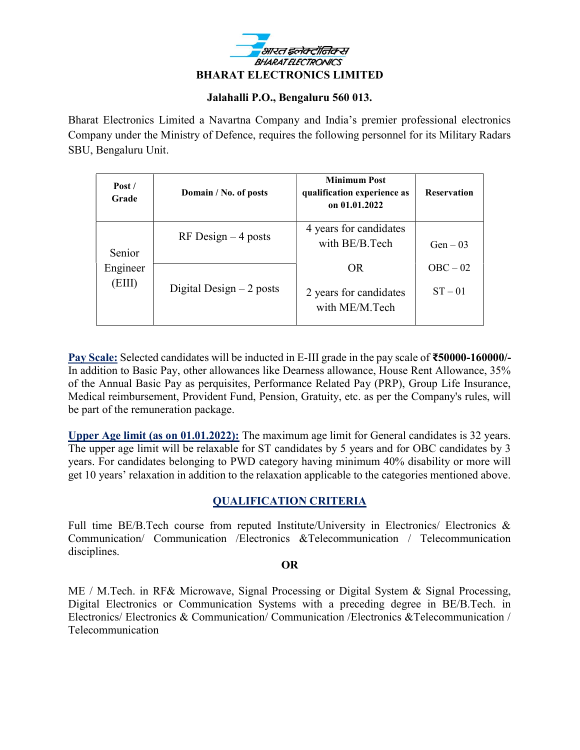

#### Jalahalli P.O., Bengaluru 560 013.

Bharat Electronics Limited a Navartna Company and India's premier professional electronics Company under the Ministry of Defence, requires the following personnel for its Military Radars SBU, Bengaluru Unit.

| Post/<br>Grade               | Domain / No. of posts     | <b>Minimum Post</b><br>qualification experience as<br>on 01.01.2022 | <b>Reservation</b>      |
|------------------------------|---------------------------|---------------------------------------------------------------------|-------------------------|
| Senior<br>Engineer<br>(EIII) | $RF$ Design $-4$ posts    | 4 years for candidates<br>with BE/B.Tech                            | $Gen - 03$              |
|                              | Digital Design $-2$ posts | OR<br>2 years for candidates<br>with ME/M.Tech                      | $OBC - 02$<br>$ST - 01$ |

Pay Scale: Selected candidates will be inducted in E-III grade in the pay scale of ₹50000-160000/-In addition to Basic Pay, other allowances like Dearness allowance, House Rent Allowance, 35% of the Annual Basic Pay as perquisites, Performance Related Pay (PRP), Group Life Insurance, Medical reimbursement, Provident Fund, Pension, Gratuity, etc. as per the Company's rules, will be part of the remuneration package.

Upper Age limit (as on 01.01.2022): The maximum age limit for General candidates is 32 years. The upper age limit will be relaxable for ST candidates by 5 years and for OBC candidates by 3 years. For candidates belonging to PWD category having minimum 40% disability or more will get 10 years' relaxation in addition to the relaxation applicable to the categories mentioned above.

### QUALIFICATION CRITERIA

Full time BE/B.Tech course from reputed Institute/University in Electronics/ Electronics & Communication/ Communication /Electronics &Telecommunication / Telecommunication disciplines.

#### OR

ME / M.Tech. in RF& Microwave, Signal Processing or Digital System & Signal Processing, Digital Electronics or Communication Systems with a preceding degree in BE/B.Tech. in Electronics/ Electronics & Communication/ Communication /Electronics &Telecommunication / Telecommunication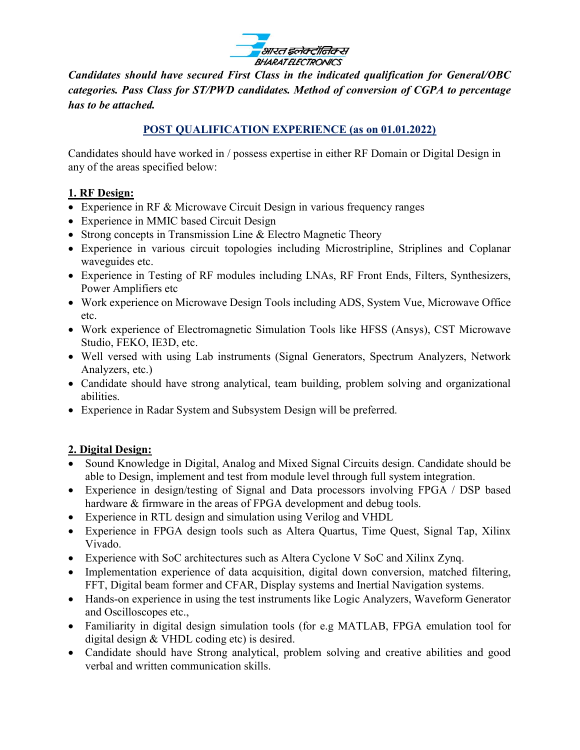

Candidates should have secured First Class in the indicated qualification for General/OBC categories. Pass Class for ST/PWD candidates. Method of conversion of CGPA to percentage has to be attached.

## POST QUALIFICATION EXPERIENCE (as on 01.01.2022)

Candidates should have worked in / possess expertise in either RF Domain or Digital Design in any of the areas specified below:

## 1. RF Design:

- Experience in RF & Microwave Circuit Design in various frequency ranges
- Experience in MMIC based Circuit Design
- Strong concepts in Transmission Line & Electro Magnetic Theory
- Experience in various circuit topologies including Microstripline, Striplines and Coplanar waveguides etc.
- Experience in Testing of RF modules including LNAs, RF Front Ends, Filters, Synthesizers, Power Amplifiers etc
- Work experience on Microwave Design Tools including ADS, System Vue, Microwave Office etc.
- Work experience of Electromagnetic Simulation Tools like HFSS (Ansys), CST Microwave Studio, FEKO, IE3D, etc.
- Well versed with using Lab instruments (Signal Generators, Spectrum Analyzers, Network Analyzers, etc.)
- Candidate should have strong analytical, team building, problem solving and organizational abilities.
- Experience in Radar System and Subsystem Design will be preferred.

# 2. Digital Design:

- Sound Knowledge in Digital, Analog and Mixed Signal Circuits design. Candidate should be able to Design, implement and test from module level through full system integration.
- Experience in design/testing of Signal and Data processors involving FPGA / DSP based hardware & firmware in the areas of FPGA development and debug tools.
- Experience in RTL design and simulation using Verilog and VHDL
- Experience in FPGA design tools such as Altera Quartus, Time Quest, Signal Tap, Xilinx Vivado.
- Experience with SoC architectures such as Altera Cyclone V SoC and Xilinx Zynq.
- Implementation experience of data acquisition, digital down conversion, matched filtering, FFT, Digital beam former and CFAR, Display systems and Inertial Navigation systems.
- Hands-on experience in using the test instruments like Logic Analyzers, Waveform Generator and Oscilloscopes etc.,
- Familiarity in digital design simulation tools (for e.g MATLAB, FPGA emulation tool for digital design & VHDL coding etc) is desired.
- Candidate should have Strong analytical, problem solving and creative abilities and good verbal and written communication skills.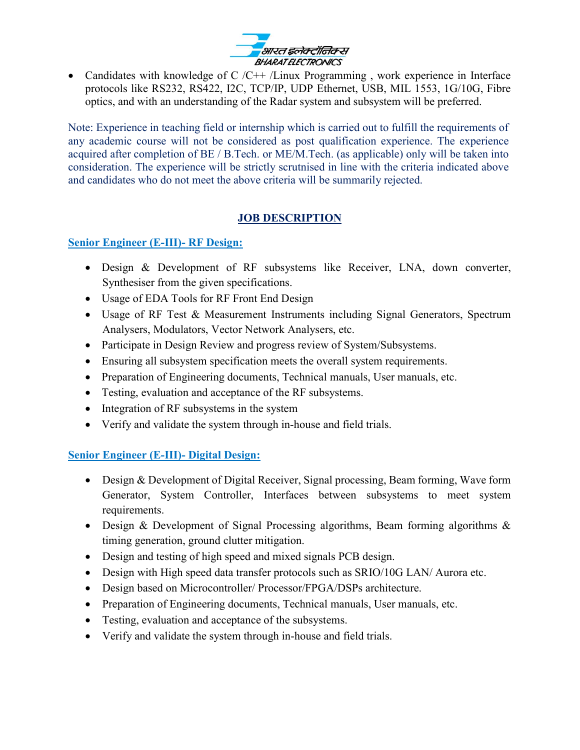

• Candidates with knowledge of C  $/C++$  /Linux Programming, work experience in Interface protocols like RS232, RS422, I2C, TCP/IP, UDP Ethernet, USB, MIL 1553, 1G/10G, Fibre optics, and with an understanding of the Radar system and subsystem will be preferred.

Note: Experience in teaching field or internship which is carried out to fulfill the requirements of any academic course will not be considered as post qualification experience. The experience acquired after completion of BE / B.Tech. or ME/M.Tech. (as applicable) only will be taken into consideration. The experience will be strictly scrutnised in line with the criteria indicated above and candidates who do not meet the above criteria will be summarily rejected.

# JOB DESCRIPTION

## Senior Engineer (E-III)- RF Design:

- Design & Development of RF subsystems like Receiver, LNA, down converter, Synthesiser from the given specifications.
- Usage of EDA Tools for RF Front End Design
- Usage of RF Test & Measurement Instruments including Signal Generators, Spectrum Analysers, Modulators, Vector Network Analysers, etc.
- Participate in Design Review and progress review of System/Subsystems.
- Ensuring all subsystem specification meets the overall system requirements.
- Preparation of Engineering documents, Technical manuals, User manuals, etc.
- Testing, evaluation and acceptance of the RF subsystems.
- Integration of RF subsystems in the system
- Verify and validate the system through in-house and field trials.

# Senior Engineer (E-III)- Digital Design:

- Design & Development of Digital Receiver, Signal processing, Beam forming, Wave form Generator, System Controller, Interfaces between subsystems to meet system requirements.
- Design & Development of Signal Processing algorithms, Beam forming algorithms & timing generation, ground clutter mitigation.
- Design and testing of high speed and mixed signals PCB design.
- Design with High speed data transfer protocols such as SRIO/10G LAN/ Aurora etc.
- Design based on Microcontroller/ Processor/FPGA/DSPs architecture.
- Preparation of Engineering documents, Technical manuals, User manuals, etc.
- Testing, evaluation and acceptance of the subsystems.
- Verify and validate the system through in-house and field trials.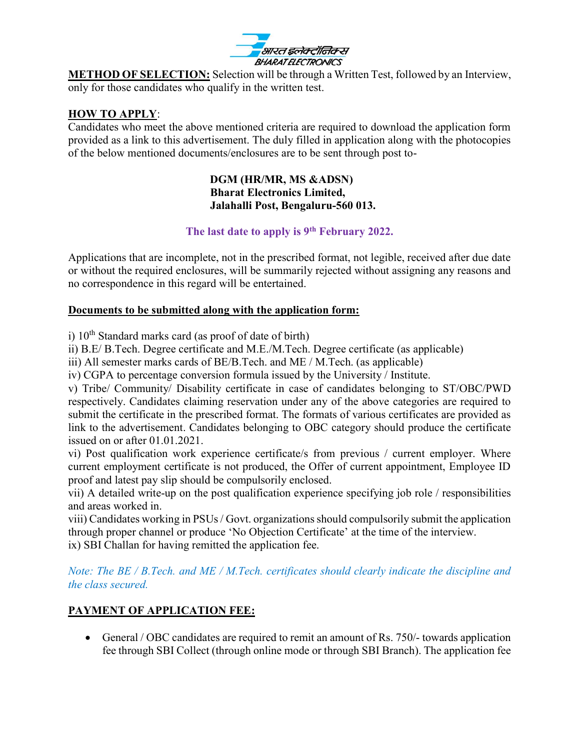

METHOD OF SELECTION: Selection will be through a Written Test, followed by an Interview, only for those candidates who qualify in the written test.

#### HOW TO APPLY:

Candidates who meet the above mentioned criteria are required to download the application form provided as a link to this advertisement. The duly filled in application along with the photocopies of the below mentioned documents/enclosures are to be sent through post to-

#### DGM (HR/MR, MS &ADSN) Bharat Electronics Limited, Jalahalli Post, Bengaluru-560 013.

### The last date to apply is 9<sup>th</sup> February 2022.

Applications that are incomplete, not in the prescribed format, not legible, received after due date or without the required enclosures, will be summarily rejected without assigning any reasons and no correspondence in this regard will be entertained.

#### Documents to be submitted along with the application form:

i)  $10^{th}$  Standard marks card (as proof of date of birth)

ii) B.E/ B.Tech. Degree certificate and M.E./M.Tech. Degree certificate (as applicable)

iii) All semester marks cards of BE/B.Tech. and ME / M.Tech. (as applicable)

iv) CGPA to percentage conversion formula issued by the University / Institute.

v) Tribe/ Community/ Disability certificate in case of candidates belonging to ST/OBC/PWD respectively. Candidates claiming reservation under any of the above categories are required to submit the certificate in the prescribed format. The formats of various certificates are provided as link to the advertisement. Candidates belonging to OBC category should produce the certificate issued on or after 01.01.2021.

vi) Post qualification work experience certificate/s from previous / current employer. Where current employment certificate is not produced, the Offer of current appointment, Employee ID proof and latest pay slip should be compulsorily enclosed.

vii) A detailed write-up on the post qualification experience specifying job role / responsibilities and areas worked in.

viii) Candidates working in PSUs / Govt. organizations should compulsorily submit the application through proper channel or produce 'No Objection Certificate' at the time of the interview. ix) SBI Challan for having remitted the application fee.

Note: The BE / B.Tech. and ME / M.Tech. certificates should clearly indicate the discipline and the class secured.

# PAYMENT OF APPLICATION FEE:

 General / OBC candidates are required to remit an amount of Rs. 750/- towards application fee through SBI Collect (through online mode or through SBI Branch). The application fee